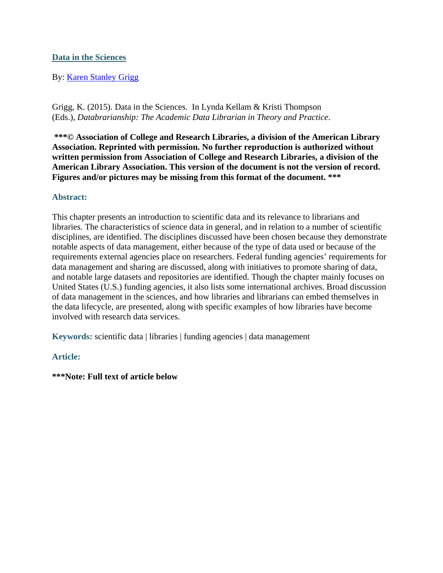### **Data in the Sciences**

#### By: Karen Stanley Grigg

Grigg, K. (2015). Data in the Sciences. In Lynda Kellam & Kristi Thompson (Eds.), *Databrarianship: The Academic Data Librarian in Theory and Practice*.

**\*\*\*© Association of College and Research Libraries, a division of the American Library Association. Reprinted with permission. No further reproduction is authorized without written permission from Association of College and Research Libraries, a division of the American Library Association. This version of the document is not the version of record. Figures and/or pictures may be missing from this format of the document. \*\*\*** 

#### **Abstract:**

This chapter presents an introduction to scientific data and its relevance to librarians and libraries. The characteristics of science data in general, and in relation to a number of scientific disciplines, are identified. The disciplines discussed have been chosen because they demonstrate notable aspects of data management, either because of the type of data used or because of the requirements external agencies place on researchers. Federal funding agencies' requirements for data management and sharing are discussed, along with initiatives to promote sharing of data, and notable large datasets and repositories are identified. Though the chapter mainly focuses on United States (U.S.) funding agencies, it also lists some international archives. Broad discussion of data management in the sciences, and how libraries and librarians can embed themselves in the data lifecycle, are presented, along with specific examples of how libraries have become involved with research data services.

**Keywords:** scientific data | libraries | funding agencies | data management

#### **Article:**

**\*\*\*Note: Full text of article below**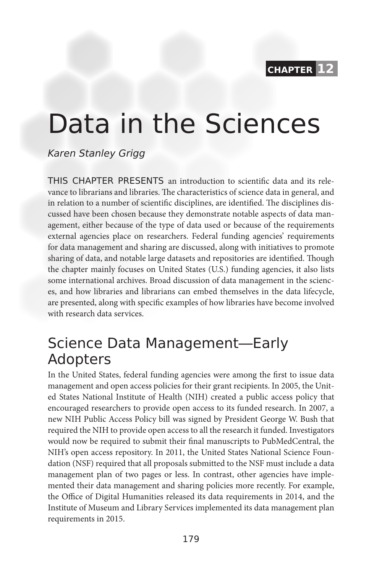**chapter 12**

# Data in the Sciences

Karen Stanley Grigg

THIS CHAPTER PRESENTS an introduction to scientific data and its relevance to librarians and libraries. The characteristics of science data in general, and in relation to a number of scientific disciplines, are identified. The disciplines discussed have been chosen because they demonstrate notable aspects of data management, either because of the type of data used or because of the requirements external agencies place on researchers. Federal funding agencies' requirements for data management and sharing are discussed, along with initiatives to promote sharing of data, and notable large datasets and repositories are identified. Though the chapter mainly focuses on United States (U.S.) funding agencies, it also lists some international archives. Broad discussion of data management in the sciences, and how libraries and librarians can embed themselves in the data lifecycle, are presented, along with specific examples of how libraries have become involved with research data services.

### Science Data Management—Early Adopters

In the United States, federal funding agencies were among the first to issue data management and open access policies for their grant recipients. In 2005, the United States National Institute of Health (NIH) created a public access policy that encouraged researchers to provide open access to its funded research. In 2007, a new NIH Public Access Policy bill was signed by President George W. Bush that required the NIH to provide open access to all the research it funded. Investigators would now be required to submit their final manuscripts to PubMedCentral, the NIH's open access repository. In 2011, the United States National Science Foundation (NSF) required that all proposals submitted to the NSF must include a data management plan of two pages or less. In contrast, other agencies have implemented their data management and sharing policies more recently. For example, the Office of Digital Humanities released its data requirements in 2014, and the Institute of Museum and Library Services implemented its data management plan requirements in 2015.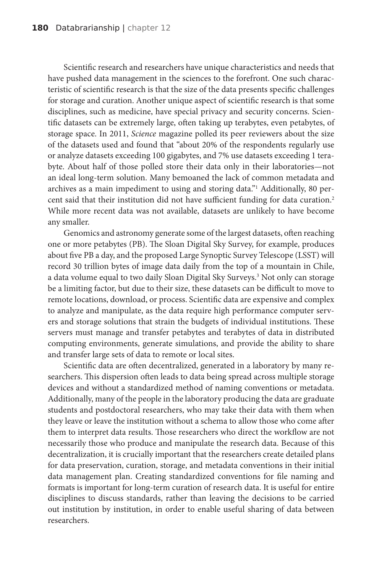Scientific research and researchers have unique characteristics and needs that have pushed data management in the sciences to the forefront. One such characteristic of scientific research is that the size of the data presents specific challenges for storage and curation. Another unique aspect of scientific research is that some disciplines, such as medicine, have special privacy and security concerns. Scientific datasets can be extremely large, often taking up terabytes, even petabytes, of storage space. In 2011, *Science* magazine polled its peer reviewers about the size of the datasets used and found that "about 20% of the respondents regularly use or analyze datasets exceeding 100 gigabytes, and 7% use datasets exceeding 1 terabyte. About half of those polled store their data only in their laboratories—not an ideal long-term solution. Many bemoaned the lack of common metadata and archives as a main impediment to using and storing data."1 Additionally, 80 percent said that their institution did not have sufficient funding for data curation.<sup>2</sup> While more recent data was not available, datasets are unlikely to have become any smaller.

Genomics and astronomy generate some of the largest datasets, often reaching one or more petabytes (PB). The Sloan Digital Sky Survey, for example, produces about five PB a day, and the proposed Large Synoptic Survey Telescope (LSST) will record 30 trillion bytes of image data daily from the top of a mountain in Chile, a data volume equal to two daily Sloan Digital Sky Surveys.<sup>3</sup> Not only can storage be a limiting factor, but due to their size, these datasets can be difficult to move to remote locations, download, or process. Scientific data are expensive and complex to analyze and manipulate, as the data require high performance computer servers and storage solutions that strain the budgets of individual institutions. These servers must manage and transfer petabytes and terabytes of data in distributed computing environments, generate simulations, and provide the ability to share and transfer large sets of data to remote or local sites.

Scientific data are often decentralized, generated in a laboratory by many researchers. This dispersion often leads to data being spread across multiple storage devices and without a standardized method of naming conventions or metadata. Additionally, many of the people in the laboratory producing the data are graduate students and postdoctoral researchers, who may take their data with them when they leave or leave the institution without a schema to allow those who come after them to interpret data results. Those researchers who direct the workflow are not necessarily those who produce and manipulate the research data. Because of this decentralization, it is crucially important that the researchers create detailed plans for data preservation, curation, storage, and metadata conventions in their initial data management plan. Creating standardized conventions for file naming and formats is important for long-term curation of research data. It is useful for entire disciplines to discuss standards, rather than leaving the decisions to be carried out institution by institution, in order to enable useful sharing of data between researchers.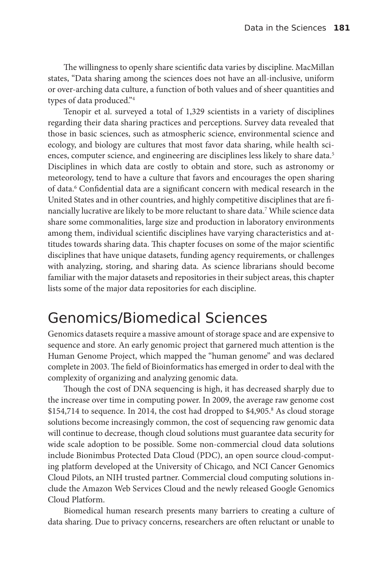The willingness to openly share scientific data varies by discipline. MacMillan states, "Data sharing among the sciences does not have an all-inclusive, uniform or over-arching data culture, a function of both values and of sheer quantities and types of data produced."4

Tenopir et al. surveyed a total of 1,329 scientists in a variety of disciplines regarding their data sharing practices and perceptions. Survey data revealed that those in basic sciences, such as atmospheric science, environmental science and ecology, and biology are cultures that most favor data sharing, while health sciences, computer science, and engineering are disciplines less likely to share data.<sup>5</sup> Disciplines in which data are costly to obtain and store, such as astronomy or meteorology, tend to have a culture that favors and encourages the open sharing of data.<sup>6</sup> Confidential data are a significant concern with medical research in the United States and in other countries, and highly competitive disciplines that are financially lucrative are likely to be more reluctant to share data.7 While science data share some commonalities, large size and production in laboratory environments among them, individual scientific disciplines have varying characteristics and attitudes towards sharing data. This chapter focuses on some of the major scientific disciplines that have unique datasets, funding agency requirements, or challenges with analyzing, storing, and sharing data. As science librarians should become familiar with the major datasets and repositories in their subject areas, this chapter lists some of the major data repositories for each discipline.

### Genomics/Biomedical Sciences

Genomics datasets require a massive amount of storage space and are expensive to sequence and store. An early genomic project that garnered much attention is the Human Genome Project, which mapped the "human genome" and was declared complete in 2003. The field of Bioinformatics has emerged in order to deal with the complexity of organizing and analyzing genomic data.

Though the cost of DNA sequencing is high, it has decreased sharply due to the increase over time in computing power. In 2009, the average raw genome cost \$154,714 to sequence. In 2014, the cost had dropped to \$4,905.8 As cloud storage solutions become increasingly common, the cost of sequencing raw genomic data will continue to decrease, though cloud solutions must guarantee data security for wide scale adoption to be possible. Some non-commercial cloud data solutions include Bionimbus Protected Data Cloud (PDC), an open source cloud-computing platform developed at the University of Chicago, and NCI Cancer Genomics Cloud Pilots, an NIH trusted partner. Commercial cloud computing solutions include the Amazon Web Services Cloud and the newly released Google Genomics Cloud Platform.

Biomedical human research presents many barriers to creating a culture of data sharing. Due to privacy concerns, researchers are often reluctant or unable to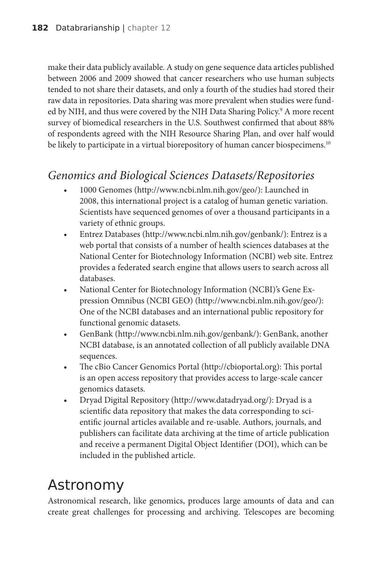make their data publicly available. A study on gene sequence data articles published between 2006 and 2009 showed that cancer researchers who use human subjects tended to not share their datasets, and only a fourth of the studies had stored their raw data in repositories. Data sharing was more prevalent when studies were funded by NIH, and thus were covered by the NIH Data Sharing Policy.<sup>9</sup> A more recent survey of biomedical researchers in the U.S. Southwest confirmed that about 88% of respondents agreed with the NIH Resource Sharing Plan, and over half would be likely to participate in a virtual biorepository of human cancer biospecimens.<sup>10</sup>

### *Genomics and Biological Sciences Datasets/Repositories*

- 1000 Genomes (http://www.ncbi.nlm.nih.gov/geo/): Launched in 2008, this international project is a catalog of human genetic variation. Scientists have sequenced genomes of over a thousand participants in a variety of ethnic groups.
- Entrez Databases (http://www.ncbi.nlm.nih.gov/genbank/): Entrez is a web portal that consists of a number of health sciences databases at the National Center for Biotechnology Information (NCBI) web site. Entrez provides a federated search engine that allows users to search across all databases.
- National Center for Biotechnology Information (NCBI)'s Gene Expression Omnibus (NCBI GEO) (http://www.ncbi.nlm.nih.gov/geo/): One of the NCBI databases and an international public repository for functional genomic datasets.
- GenBank (http://www.ncbi.nlm.nih.gov/genbank/): GenBank, another NCBI database, is an annotated collection of all publicly available DNA sequences.
- The cBio Cancer Genomics Portal (http://cbioportal.org): This portal is an open access repository that provides access to large-scale cancer genomics datasets.
- Dryad Digital Repository (http://www.datadryad.org/): Dryad is a scientific data repository that makes the data corresponding to scientific journal articles available and re-usable. Authors, journals, and publishers can facilitate data archiving at the time of article publication and receive a permanent Digital Object Identifier (DOI), which can be included in the published article.

### Astronomy

Astronomical research, like genomics, produces large amounts of data and can create great challenges for processing and archiving. Telescopes are becoming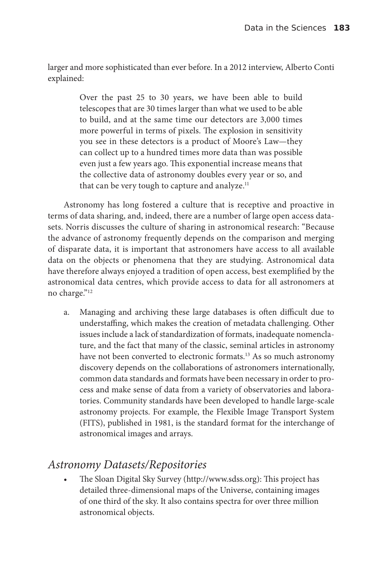larger and more sophisticated than ever before. In a 2012 interview, Alberto Conti explained:

> Over the past 25 to 30 years, we have been able to build telescopes that are 30 times larger than what we used to be able to build, and at the same time our detectors are 3,000 times more powerful in terms of pixels. The explosion in sensitivity you see in these detectors is a product of Moore's Law—they can collect up to a hundred times more data than was possible even just a few years ago. This exponential increase means that the collective data of astronomy doubles every year or so, and that can be very tough to capture and analyze. $11$

Astronomy has long fostered a culture that is receptive and proactive in terms of data sharing, and, indeed, there are a number of large open access datasets. Norris discusses the culture of sharing in astronomical research: "Because the advance of astronomy frequently depends on the comparison and merging of disparate data, it is important that astronomers have access to all available data on the objects or phenomena that they are studying. Astronomical data have therefore always enjoyed a tradition of open access, best exemplified by the astronomical data centres, which provide access to data for all astronomers at no charge."12

a. Managing and archiving these large databases is often difficult due to understaffing, which makes the creation of metadata challenging. Other issues include a lack of standardization of formats, inadequate nomenclature, and the fact that many of the classic, seminal articles in astronomy have not been converted to electronic formats.<sup>13</sup> As so much astronomy discovery depends on the collaborations of astronomers internationally, common data standards and formats have been necessary in order to process and make sense of data from a variety of observatories and laboratories. Community standards have been developed to handle large-scale astronomy projects. For example, the Flexible Image Transport System (FITS), published in 1981, is the standard format for the interchange of astronomical images and arrays.

### *Astronomy Datasets/Repositories*

• The Sloan Digital Sky Survey (http://www.sdss.org): This project has detailed three-dimensional maps of the Universe, containing images of one third of the sky. It also contains spectra for over three million astronomical objects.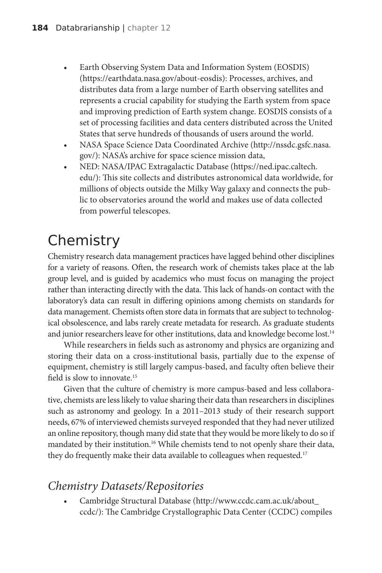- Earth Observing System Data and Information System (EOSDIS) (https://earthdata.nasa.gov/about-eosdis): Processes, archives, and distributes data from a large number of Earth observing satellites and represents a crucial capability for studying the Earth system from space and improving prediction of Earth system change. EOSDIS consists of a set of processing facilities and data centers distributed across the United States that serve hundreds of thousands of users around the world.
- NASA Space Science Data Coordinated Archive (http://nssdc.gsfc.nasa. gov/): NASA's archive for space science mission data,
- NED: NASA/IPAC Extragalactic Database (https://ned.ipac.caltech. edu/): This site collects and distributes astronomical data worldwide, for millions of objects outside the Milky Way galaxy and connects the public to observatories around the world and makes use of data collected from powerful telescopes.

## **Chemistry**

Chemistry research data management practices have lagged behind other disciplines for a variety of reasons. Often, the research work of chemists takes place at the lab group level, and is guided by academics who must focus on managing the project rather than interacting directly with the data. This lack of hands-on contact with the laboratory's data can result in differing opinions among chemists on standards for data management. Chemists often store data in formats that are subject to technological obsolescence, and labs rarely create metadata for research. As graduate students and junior researchers leave for other institutions, data and knowledge become lost.<sup>14</sup>

While researchers in fields such as astronomy and physics are organizing and storing their data on a cross-institutional basis, partially due to the expense of equipment, chemistry is still largely campus-based, and faculty often believe their field is slow to innovate.15

Given that the culture of chemistry is more campus-based and less collaborative, chemists are less likely to value sharing their data than researchers in disciplines such as astronomy and geology. In a 2011–2013 study of their research support needs, 67% of interviewed chemists surveyed responded that they had never utilized an online repository, though many did state that they would be more likely to do so if mandated by their institution.<sup>16</sup> While chemists tend to not openly share their data, they do frequently make their data available to colleagues when requested.<sup>17</sup>

### *Chemistry Datasets/Repositories*

• Cambridge Structural Database (http://www.ccdc.cam.ac.uk/about\_ ccdc/): The Cambridge Crystallographic Data Center (CCDC) compiles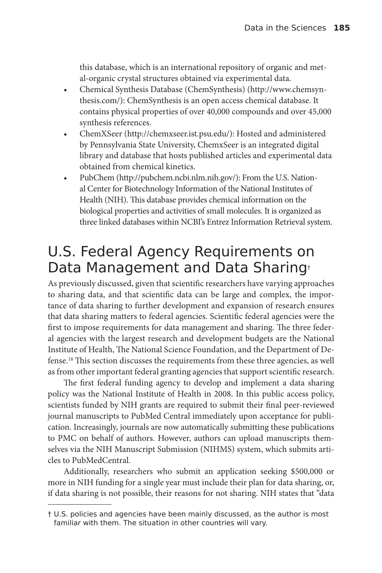this database, which is an international repository of organic and metal-organic crystal structures obtained via experimental data.

- Chemical Synthesis Database (ChemSynthesis) (http://www.chemsynthesis.com/): ChemSynthesis is an open access chemical database. It contains physical properties of over 40,000 compounds and over 45,000 synthesis references.
- ChemXSeer (http://chemxseer.ist.psu.edu/): Hosted and administered by Pennsylvania State University, ChemxSeer is an integrated digital library and database that hosts published articles and experimental data obtained from chemical kinetics.
- PubChem (http://pubchem.ncbi.nlm.nih.gov/): From the U.S. National Center for Biotechnology Information of the National Institutes of Health (NIH). This database provides chemical information on the biological properties and activities of small molecules. It is organized as three linked databases within NCBI's Entrez Information Retrieval system.

### U.S. Federal Agency Requirements on Data Management and Data Sharing†

As previously discussed, given that scientific researchers have varying approaches to sharing data, and that scientific data can be large and complex, the importance of data sharing to further development and expansion of research ensures that data sharing matters to federal agencies. Scientific federal agencies were the first to impose requirements for data management and sharing. The three federal agencies with the largest research and development budgets are the National Institute of Health, The National Science Foundation, and the Department of Defense.18 This section discusses the requirements from these three agencies, as well as from other important federal granting agencies that support scientific research.

The first federal funding agency to develop and implement a data sharing policy was the National Institute of Health in 2008. In this public access policy, scientists funded by NIH grants are required to submit their final peer-reviewed journal manuscripts to PubMed Central immediately upon acceptance for publication. Increasingly, journals are now automatically submitting these publications to PMC on behalf of authors. However, authors can upload manuscripts themselves via the NIH Manuscript Submission (NIHMS) system, which submits articles to PubMedCentral.

Additionally, researchers who submit an application seeking \$500,000 or more in NIH funding for a single year must include their plan for data sharing, or, if data sharing is not possible, their reasons for not sharing. NIH states that "data

<sup>†</sup> U.S. policies and agencies have been mainly discussed, as the author is most familiar with them. The situation in other countries will vary.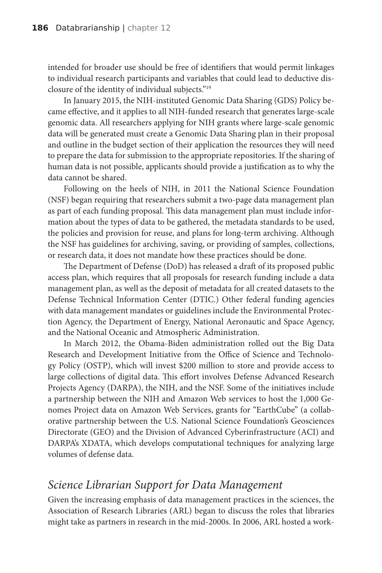intended for broader use should be free of identifiers that would permit linkages to individual research participants and variables that could lead to deductive disclosure of the identity of individual subjects."19

In January 2015, the NIH-instituted Genomic Data Sharing (GDS) Policy became effective, and it applies to all NIH-funded research that generates large-scale genomic data. All researchers applying for NIH grants where large-scale genomic data will be generated must create a Genomic Data Sharing plan in their proposal and outline in the budget section of their application the resources they will need to prepare the data for submission to the appropriate repositories. If the sharing of human data is not possible, applicants should provide a justification as to why the data cannot be shared.

Following on the heels of NIH, in 2011 the National Science Foundation (NSF) began requiring that researchers submit a two-page data management plan as part of each funding proposal. This data management plan must include information about the types of data to be gathered, the metadata standards to be used, the policies and provision for reuse, and plans for long-term archiving. Although the NSF has guidelines for archiving, saving, or providing of samples, collections, or research data, it does not mandate how these practices should be done.

The Department of Defense (DoD) has released a draft of its proposed public access plan, which requires that all proposals for research funding include a data management plan, as well as the deposit of metadata for all created datasets to the Defense Technical Information Center (DTIC.) Other federal funding agencies with data management mandates or guidelines include the Environmental Protection Agency, the Department of Energy, National Aeronautic and Space Agency, and the National Oceanic and Atmospheric Administration.

In March 2012, the Obama-Biden administration rolled out the Big Data Research and Development Initiative from the Office of Science and Technology Policy (OSTP), which will invest \$200 million to store and provide access to large collections of digital data. This effort involves Defense Advanced Research Projects Agency (DARPA), the NIH, and the NSF. Some of the initiatives include a partnership between the NIH and Amazon Web services to host the 1,000 Genomes Project data on Amazon Web Services, grants for "EarthCube" (a collaborative partnership between the U.S. National Science Foundation's Geosciences Directorate (GEO) and the Division of Advanced Cyberinfrastructure (ACI) and DARPA's XDATA, which develops computational techniques for analyzing large volumes of defense data.

### *Science Librarian Support for Data Management*

Given the increasing emphasis of data management practices in the sciences, the Association of Research Libraries (ARL) began to discuss the roles that libraries might take as partners in research in the mid-2000s. In 2006, ARL hosted a work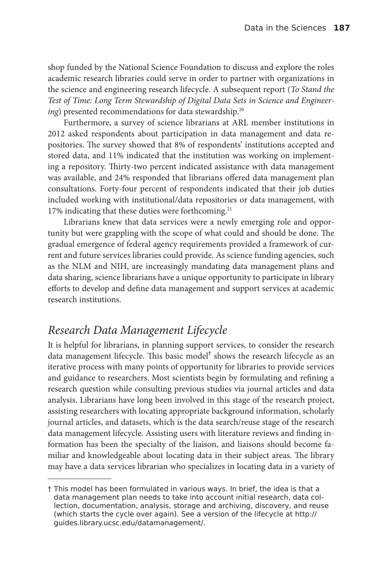shop funded by the National Science Foundation to discuss and explore the roles academic research libraries could serve in order to partner with organizations in the science and engineering research lifecycle. A subsequent report (*To Stand the Test of Time: Long Term Stewardship of Digital Data Sets in Science and Engineer*ing) presented recommendations for data stewardship.<sup>20</sup>

Furthermore, a survey of science librarians at ARL member institutions in 2012 asked respondents about participation in data management and data repositories. The survey showed that 8% of respondents' institutions accepted and stored data, and 11% indicated that the institution was working on implementing a repository. Thirty-two percent indicated assistance with data management was available, and 24% responded that librarians offered data management plan consultations. Forty-four percent of respondents indicated that their job duties included working with institutional/data repositories or data management, with 17% indicating that these duties were forthcoming.<sup>21</sup>

Librarians knew that data services were a newly emerging role and opportunity but were grappling with the scope of what could and should be done. The gradual emergence of federal agency requirements provided a framework of current and future services libraries could provide. As science funding agencies, such as the NLM and NIH, are increasingly mandating data management plans and data sharing, science librarians have a unique opportunity to participate in library efforts to develop and define data management and support services at academic research institutions.

### *Research Data Management Lifecycle*

It is helpful for librarians, in planning support services, to consider the research data management lifecycle. This basic model<sup>†</sup> shows the research lifecycle as an iterative process with many points of opportunity for libraries to provide services and guidance to researchers. Most scientists begin by formulating and refining a research question while consulting previous studies via journal articles and data analysis. Librarians have long been involved in this stage of the research project, assisting researchers with locating appropriate background information, scholarly journal articles, and datasets, which is the data search/reuse stage of the research data management lifecycle. Assisting users with literature reviews and finding information has been the specialty of the liaison, and liaisons should become familiar and knowledgeable about locating data in their subject areas. The library may have a data services librarian who specializes in locating data in a variety of

<sup>†</sup> This model has been formulated in various ways. In brief, the idea is that a data management plan needs to take into account initial research, data collection, documentation, analysis, storage and archiving, discovery, and reuse (which starts the cycle over again). See a version of the lifecycle at http:// guides.library.ucsc.edu/datamanagement/.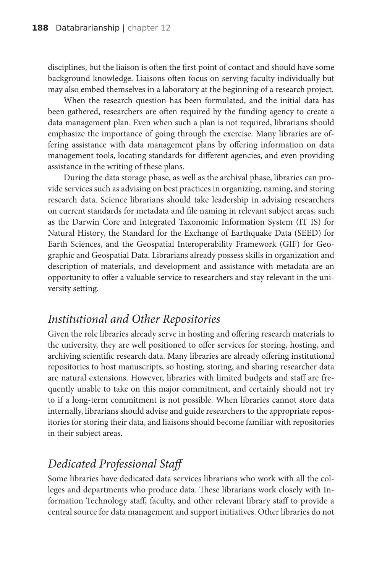disciplines, but the liaison is often the first point of contact and should have some background knowledge. Liaisons often focus on serving faculty individually but may also embed themselves in a laboratory at the beginning of a research project.

When the research question has been formulated, and the initial data has been gathered, researchers are often required by the funding agency to create a data management plan. Even when such a plan is not required, librarians should emphasize the importance of going through the exercise. Many libraries are offering assistance with data management plans by offering information on data management tools, locating standards for different agencies, and even providing assistance in the writing of these plans.

During the data storage phase, as well as the archival phase, libraries can provide services such as advising on best practices in organizing, naming, and storing research data. Science librarians should take leadership in advising researchers on current standards for metadata and file naming in relevant subject areas, such as the Darwin Core and Integrated Taxonomic Information System (IT IS) for Natural History, the Standard for the Exchange of Earthquake Data (SEED) for Earth Sciences, and the Geospatial Interoperability Framework (GIF) for Geographic and Geospatial Data. Librarians already possess skills in organization and description of materials, and development and assistance with metadata are an opportunity to offer a valuable service to researchers and stay relevant in the university setting.

### *Institutional and Other Repositories*

Given the role libraries already serve in hosting and offering research materials to the university, they are well positioned to offer services for storing, hosting, and archiving scientific research data. Many libraries are already offering institutional repositories to host manuscripts, so hosting, storing, and sharing researcher data are natural extensions. However, libraries with limited budgets and staff are frequently unable to take on this major commitment, and certainly should not try to if a long-term commitment is not possible. When libraries cannot store data internally, librarians should advise and guide researchers to the appropriate repositories for storing their data, and liaisons should become familiar with repositories in their subject areas.

### *Dedicated Professional Staff*

Some libraries have dedicated data services librarians who work with all the colleges and departments who produce data. These librarians work closely with Information Technology staff, faculty, and other relevant library staff to provide a central source for data management and support initiatives. Other libraries do not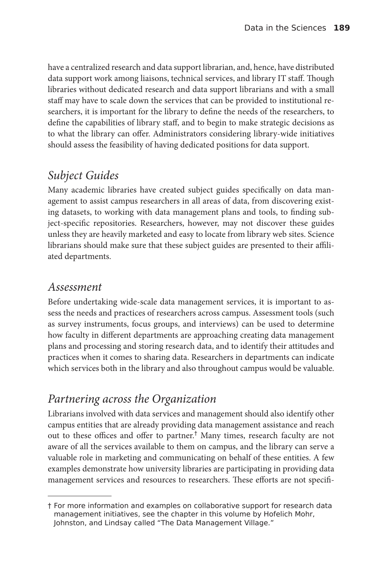have a centralized research and data support librarian, and, hence, have distributed data support work among liaisons, technical services, and library IT staff. Though libraries without dedicated research and data support librarians and with a small staff may have to scale down the services that can be provided to institutional researchers, it is important for the library to define the needs of the researchers, to define the capabilities of library staff, and to begin to make strategic decisions as to what the library can offer. Administrators considering library-wide initiatives should assess the feasibility of having dedicated positions for data support.

### *Subject Guides*

Many academic libraries have created subject guides specifically on data management to assist campus researchers in all areas of data, from discovering existing datasets, to working with data management plans and tools, to finding subject-specific repositories. Researchers, however, may not discover these guides unless they are heavily marketed and easy to locate from library web sites. Science librarians should make sure that these subject guides are presented to their affiliated departments.

#### *Assessment*

Before undertaking wide-scale data management services, it is important to assess the needs and practices of researchers across campus. Assessment tools (such as survey instruments, focus groups, and interviews) can be used to determine how faculty in different departments are approaching creating data management plans and processing and storing research data, and to identify their attitudes and practices when it comes to sharing data. Researchers in departments can indicate which services both in the library and also throughout campus would be valuable.

### *Partnering across the Organization*

Librarians involved with data services and management should also identify other campus entities that are already providing data management assistance and reach out to these offices and offer to partner.† Many times, research faculty are not aware of all the services available to them on campus, and the library can serve a valuable role in marketing and communicating on behalf of these entities. A few examples demonstrate how university libraries are participating in providing data management services and resources to researchers. These efforts are not specifi-

<sup>†</sup> For more information and examples on collaborative support for research data management initiatives, see the chapter in this volume by Hofelich Mohr, Johnston, and Lindsay called "The Data Management Village."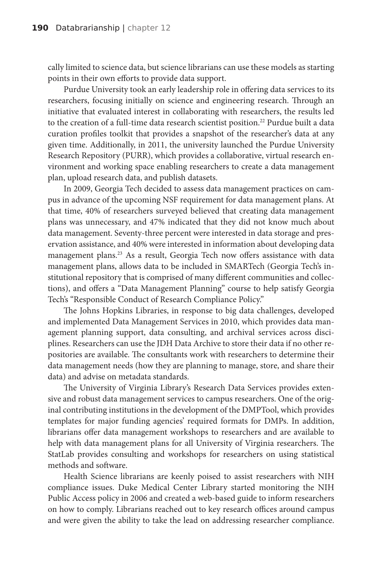cally limited to science data, but science librarians can use these models as starting points in their own efforts to provide data support.

Purdue University took an early leadership role in offering data services to its researchers, focusing initially on science and engineering research. Through an initiative that evaluated interest in collaborating with researchers, the results led to the creation of a full-time data research scientist position.<sup>22</sup> Purdue built a data curation profiles toolkit that provides a snapshot of the researcher's data at any given time. Additionally, in 2011, the university launched the Purdue University Research Repository (PURR), which provides a collaborative, virtual research environment and working space enabling researchers to create a data management plan, upload research data, and publish datasets.

In 2009, Georgia Tech decided to assess data management practices on campus in advance of the upcoming NSF requirement for data management plans. At that time, 40% of researchers surveyed believed that creating data management plans was unnecessary, and 47% indicated that they did not know much about data management. Seventy-three percent were interested in data storage and preservation assistance, and 40% were interested in information about developing data management plans.<sup>23</sup> As a result, Georgia Tech now offers assistance with data management plans, allows data to be included in SMARTech (Georgia Tech's institutional repository that is comprised of many different communities and collections), and offers a "Data Management Planning" course to help satisfy Georgia Tech's "Responsible Conduct of Research Compliance Policy."

The Johns Hopkins Libraries, in response to big data challenges, developed and implemented Data Management Services in 2010, which provides data management planning support, data consulting, and archival services across disciplines. Researchers can use the JDH Data Archive to store their data if no other repositories are available. The consultants work with researchers to determine their data management needs (how they are planning to manage, store, and share their data) and advise on metadata standards.

The University of Virginia Library's Research Data Services provides extensive and robust data management services to campus researchers. One of the original contributing institutions in the development of the DMPTool, which provides templates for major funding agencies' required formats for DMPs. In addition, librarians offer data management workshops to researchers and are available to help with data management plans for all University of Virginia researchers. The StatLab provides consulting and workshops for researchers on using statistical methods and software.

Health Science librarians are keenly poised to assist researchers with NIH compliance issues. Duke Medical Center Library started monitoring the NIH Public Access policy in 2006 and created a web-based guide to inform researchers on how to comply. Librarians reached out to key research offices around campus and were given the ability to take the lead on addressing researcher compliance.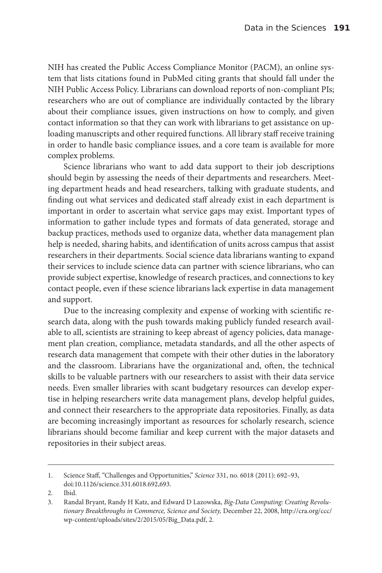NIH has created the Public Access Compliance Monitor (PACM), an online system that lists citations found in PubMed citing grants that should fall under the NIH Public Access Policy. Librarians can download reports of non-compliant PIs; researchers who are out of compliance are individually contacted by the library about their compliance issues, given instructions on how to comply, and given contact information so that they can work with librarians to get assistance on uploading manuscripts and other required functions. All library staff receive training in order to handle basic compliance issues, and a core team is available for more complex problems.

Science librarians who want to add data support to their job descriptions should begin by assessing the needs of their departments and researchers. Meeting department heads and head researchers, talking with graduate students, and finding out what services and dedicated staff already exist in each department is important in order to ascertain what service gaps may exist. Important types of information to gather include types and formats of data generated, storage and backup practices, methods used to organize data, whether data management plan help is needed, sharing habits, and identification of units across campus that assist researchers in their departments. Social science data librarians wanting to expand their services to include science data can partner with science librarians, who can provide subject expertise, knowledge of research practices, and connections to key contact people, even if these science librarians lack expertise in data management and support.

Due to the increasing complexity and expense of working with scientific research data, along with the push towards making publicly funded research available to all, scientists are straining to keep abreast of agency policies, data management plan creation, compliance, metadata standards, and all the other aspects of research data management that compete with their other duties in the laboratory and the classroom. Librarians have the organizational and, often, the technical skills to be valuable partners with our researchers to assist with their data service needs. Even smaller libraries with scant budgetary resources can develop expertise in helping researchers write data management plans, develop helpful guides, and connect their researchers to the appropriate data repositories. Finally, as data are becoming increasingly important as resources for scholarly research, science librarians should become familiar and keep current with the major datasets and repositories in their subject areas.

<sup>1.</sup> Science Staff, "Challenges and Opportunities," *Science* 331, no. 6018 (2011): 692–93, doi:10.1126/science.331.6018.692,693.

<sup>2.</sup> Ibid.

<sup>3.</sup> Randal Bryant, Randy H Katz, and Edward D Lazowska, *Big-Data Computing: Creating Revolutionary Breakthroughs in Commerce, Science and Society,* December 22, 2008, http://cra.org/ccc/ wp-content/uploads/sites/2/2015/05/Big\_Data.pdf, 2.